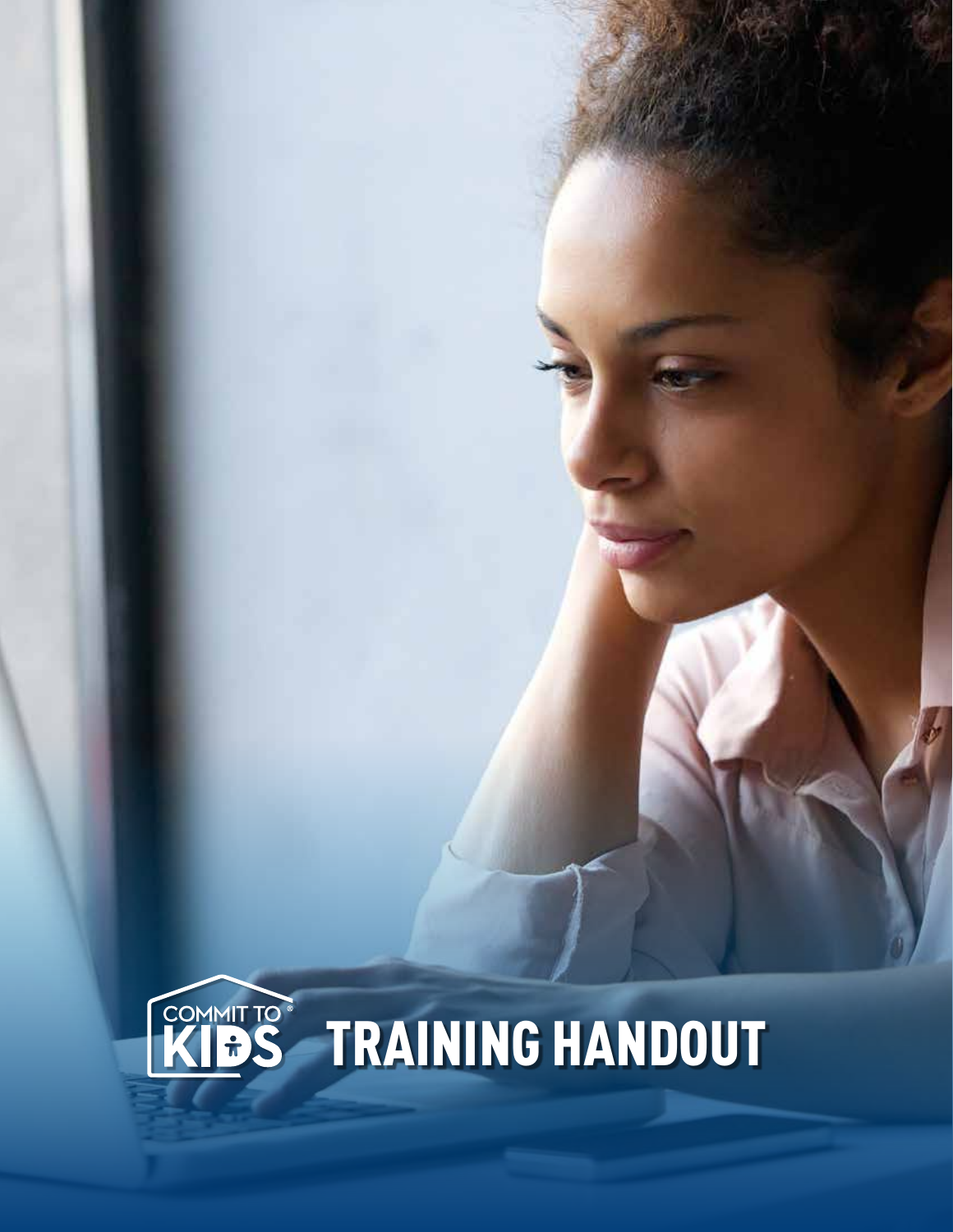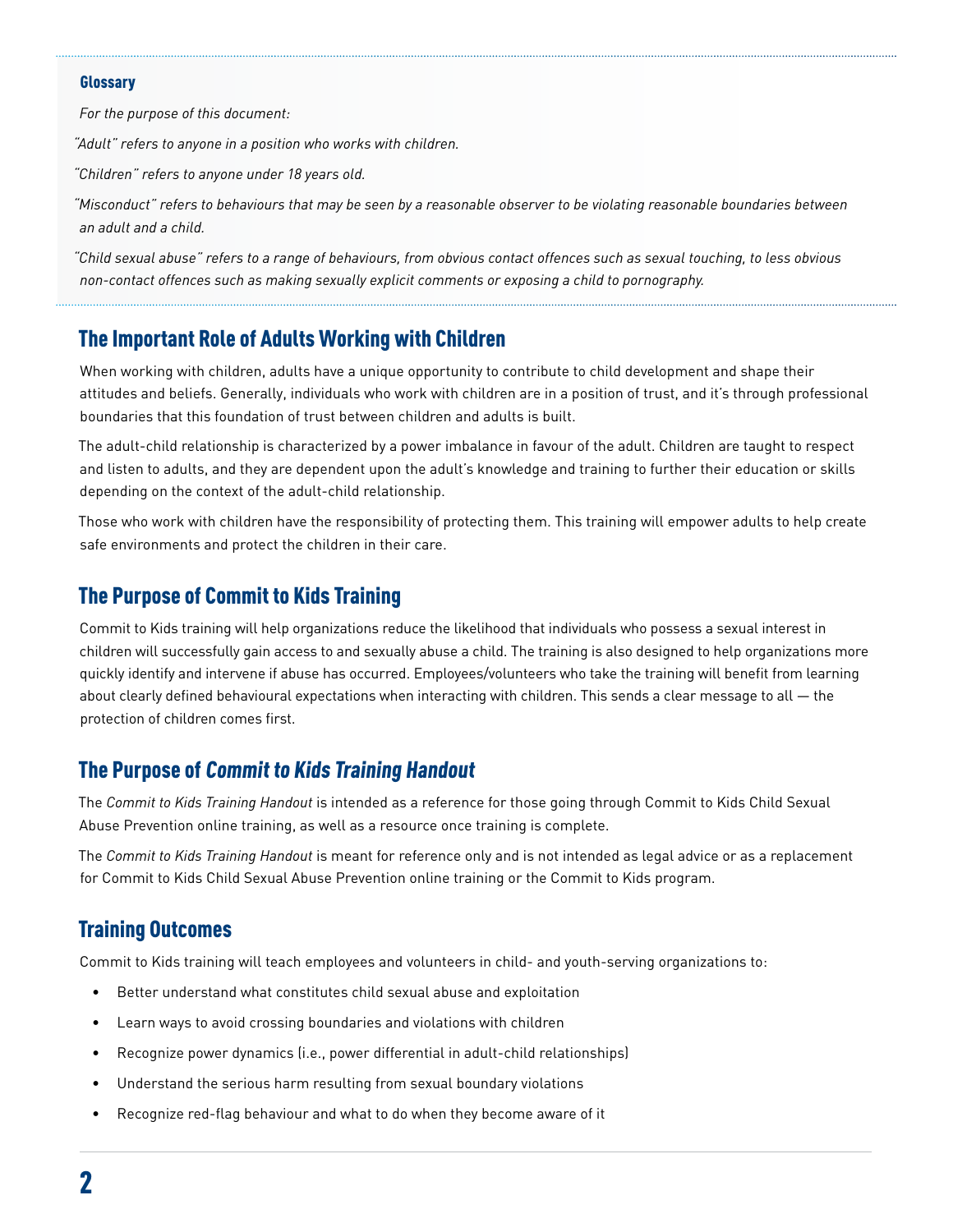#### **Glossarv**

*For the purpose of this document:* 

*"Adult" refers to anyone in a position who works with children.* 

*"Children" refers to anyone under 18 years old.*

*"Misconduct" refers to behaviours that may be seen by a reasonable observer to be violating reasonable boundaries between an adult and a child.*

*"Child sexual abuse" refers to a range of behaviours, from obvious contact offences such as sexual touching, to less obvious non-contact offences such as making sexually explicit comments or exposing a child to pornography.*

### The Important Role of Adults Working with Children

When working with children, adults have a unique opportunity to contribute to child development and shape their attitudes and beliefs. Generally, individuals who work with children are in a position of trust, and it's through professional boundaries that this foundation of trust between children and adults is built.

The adult-child relationship is characterized by a power imbalance in favour of the adult. Children are taught to respect and listen to adults, and they are dependent upon the adult's knowledge and training to further their education or skills depending on the context of the adult-child relationship.

Those who work with children have the responsibility of protecting them. This training will empower adults to help create safe environments and protect the children in their care.

#### The Purpose of Commit to Kids Training

Commit to Kids training will help organizations reduce the likelihood that individuals who possess a sexual interest in children will successfully gain access to and sexually abuse a child. The training is also designed to help organizations more quickly identify and intervene if abuse has occurred. Employees/volunteers who take the training will benefit from learning about clearly defined behavioural expectations when interacting with children. This sends a clear message to all — the protection of children comes first.

#### The Purpose of Commit to Kids Training Handout

The *Commit to Kids Training Handout* is intended as a reference for those going through Commit to Kids Child Sexual Abuse Prevention online training, as well as a resource once training is complete.

The *Commit to Kids Training Handout* is meant for reference only and is not intended as legal advice or as a replacement for Commit to Kids Child Sexual Abuse Prevention online training or the Commit to Kids program.

#### Training Outcomes

Commit to Kids training will teach employees and volunteers in child- and youth-serving organizations to:

- Better understand what constitutes child sexual abuse and exploitation
- Learn ways to avoid crossing boundaries and violations with children
- Recognize power dynamics (i.e., power differential in adult-child relationships)
- Understand the serious harm resulting from sexual boundary violations
- Recognize red-flag behaviour and what to do when they become aware of it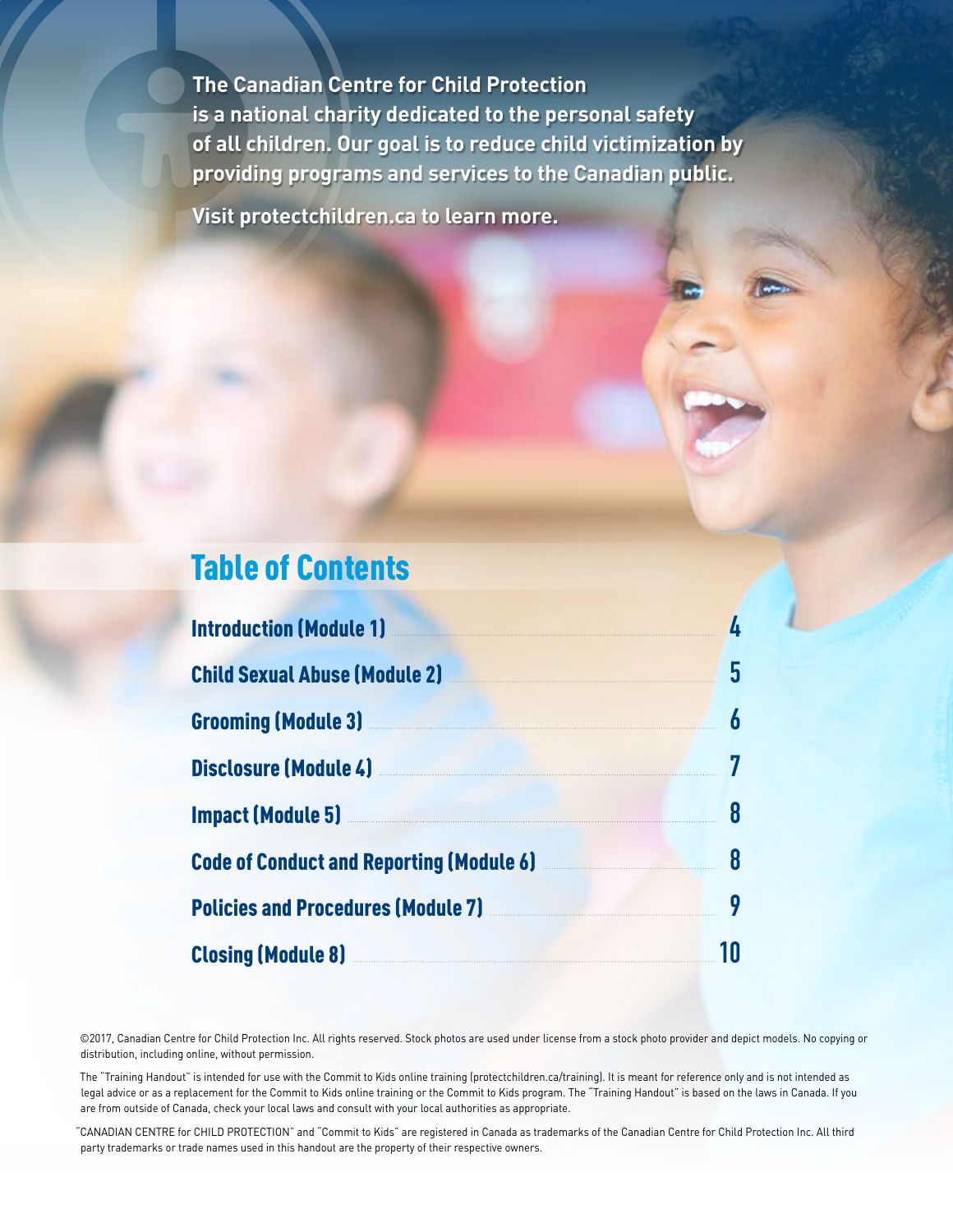**The Canadian Centre for Child Protection is a national charity dedicated to the personal safety of all children. Our goal is to reduce child victimization by providing programs and services to the Canadian public.**

**Visit protectchildren.ca to learn more.**

## Table of Contents

| <b>Introduction (Module 1)</b> Manual Manual Manual Manual Manual Manual Manual Manual Manual Manual Manual Manual Ma                                                                                                                | 4  |
|--------------------------------------------------------------------------------------------------------------------------------------------------------------------------------------------------------------------------------------|----|
| Child Sexual Abuse (Module 2) Manual Child Sexual Abuse (Module 2)                                                                                                                                                                   | 5  |
| <b>Grooming (Module 3) Manual Construction Construction Construction Construction Construction Construction Construction Construction Construction Construction Construction Construction Construction Construction Construction</b> | 6  |
| Disclosure (Module 4) <b>Marine 2008</b>                                                                                                                                                                                             |    |
| <b>Impact (Module 5)</b> Manual Manual Manual Manual Manual Manual Manual Manual Manual Manual Manual Manual Manual                                                                                                                  | 8  |
| Code of Conduct and Reporting (Module 6) 38                                                                                                                                                                                          |    |
| Policies and Procedures (Module 7) <b>Markon Contract Procedures</b> (Module 7)                                                                                                                                                      | 9  |
| Closing (Module 8) <b>Example 2</b> and 2 and 2 and 2 and 2 and 2 and 2 and 2 and 2 and 2 and 2 and 2 and 2 and 2 and 2 and 2 and 2 and 2 and 2 and 2 and 2 and 2 and 2 and 2 and 2 and 2 and 2 and 2 and 2 and 2 and 2 and 2 and 2  | 10 |

©2017, Canadian Centre for Child Protection Inc. All rights reserved. Stock photos are used under license from a stock photo provider and depict models. No copying or distribution, including online, without permission.

The "Training Handout" is intended for use with the Commit to Kids online training (protectchildren.ca/training). It is meant for reference only and is not intended as legal advice or as a replacement for the Commit to Kids online training or the Commit to Kids program. The "Training Handout" is based on the laws in Canada. If you are from outside of Canada, check your local laws and consult with your local authorities as appropriate.

"CANADIAN CENTRE for CHILD PROTECTION" and "Commit to Kids" are registered in Canada as trademarks of the Canadian Centre for Child Protection Inc. All third party trademarks or trade names used in this handout are the property of their respective owners.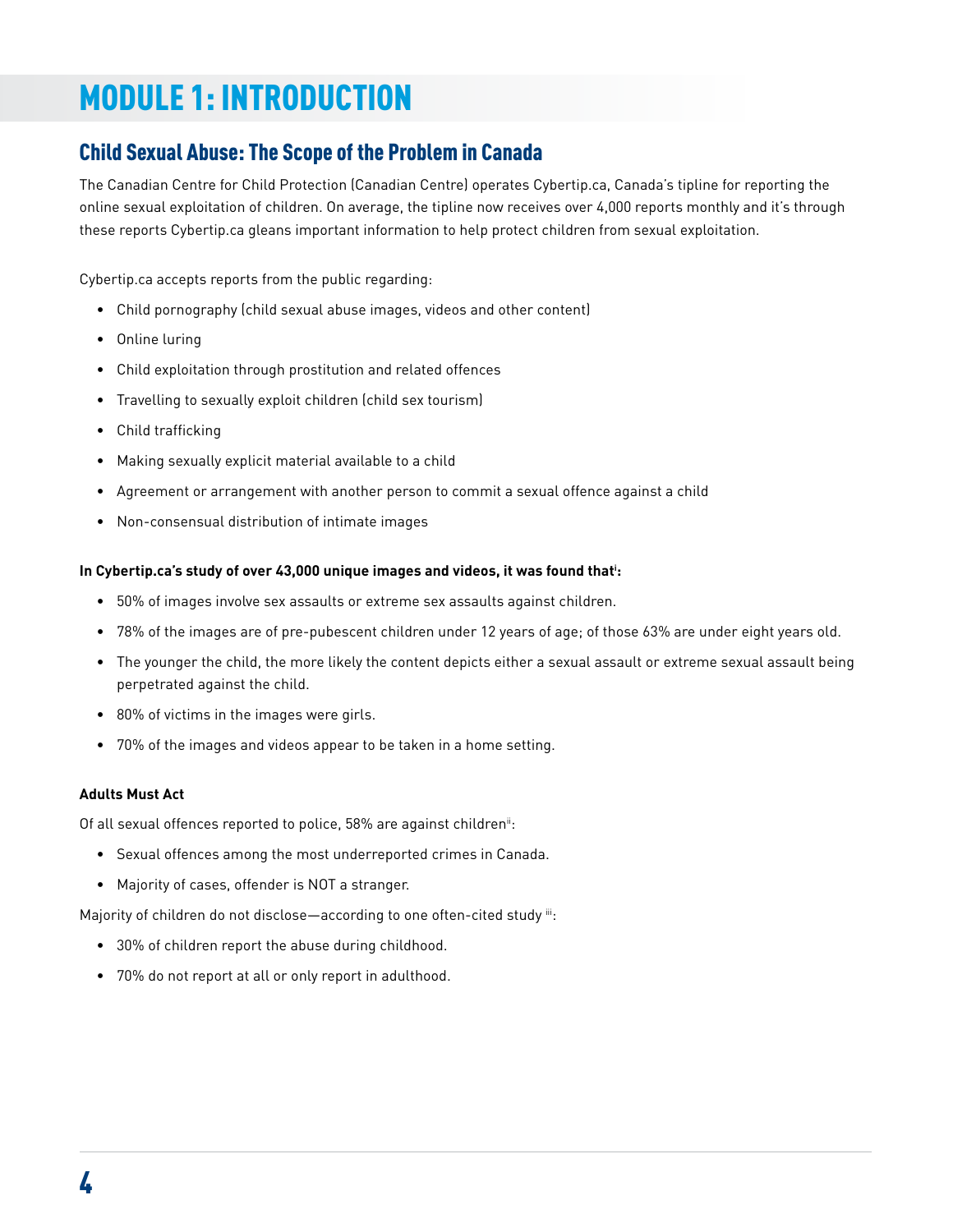## MODULE 1: INTRODUCTION

### Child Sexual Abuse: The Scope of the Problem in Canada

The Canadian Centre for Child Protection (Canadian Centre) operates Cybertip.ca, Canada's tipline for reporting the online sexual exploitation of children. On average, the tipline now receives over 4,000 reports monthly and it's through these reports Cybertip.ca gleans important information to help protect children from sexual exploitation.

Cybertip.ca accepts reports from the public regarding:

- Child pornography (child sexual abuse images, videos and other content)
- Online luring
- Child exploitation through prostitution and related offences
- Travelling to sexually exploit children (child sex tourism)
- Child trafficking
- Making sexually explicit material available to a child
- Agreement or arrangement with another person to commit a sexual offence against a child
- Non-consensual distribution of intimate images

#### **In Cybertip.ca's study of over 43,000 unique images and videos, it was found thati :**

- 50% of images involve sex assaults or extreme sex assaults against children.
- 78% of the images are of pre-pubescent children under 12 years of age; of those 63% are under eight years old.
- The younger the child, the more likely the content depicts either a sexual assault or extreme sexual assault being perpetrated against the child.
- 80% of victims in the images were girls.
- 70% of the images and videos appear to be taken in a home setting.

#### **Adults Must Act**

Of all sexual offences reported to police, 58% are against children<sup>ii</sup>:

- Sexual offences among the most underreported crimes in Canada.
- Majority of cases, offender is NOT a stranger.

Majority of children do not disclose-according to one often-cited study iii:

- 30% of children report the abuse during childhood.
- 70% do not report at all or only report in adulthood.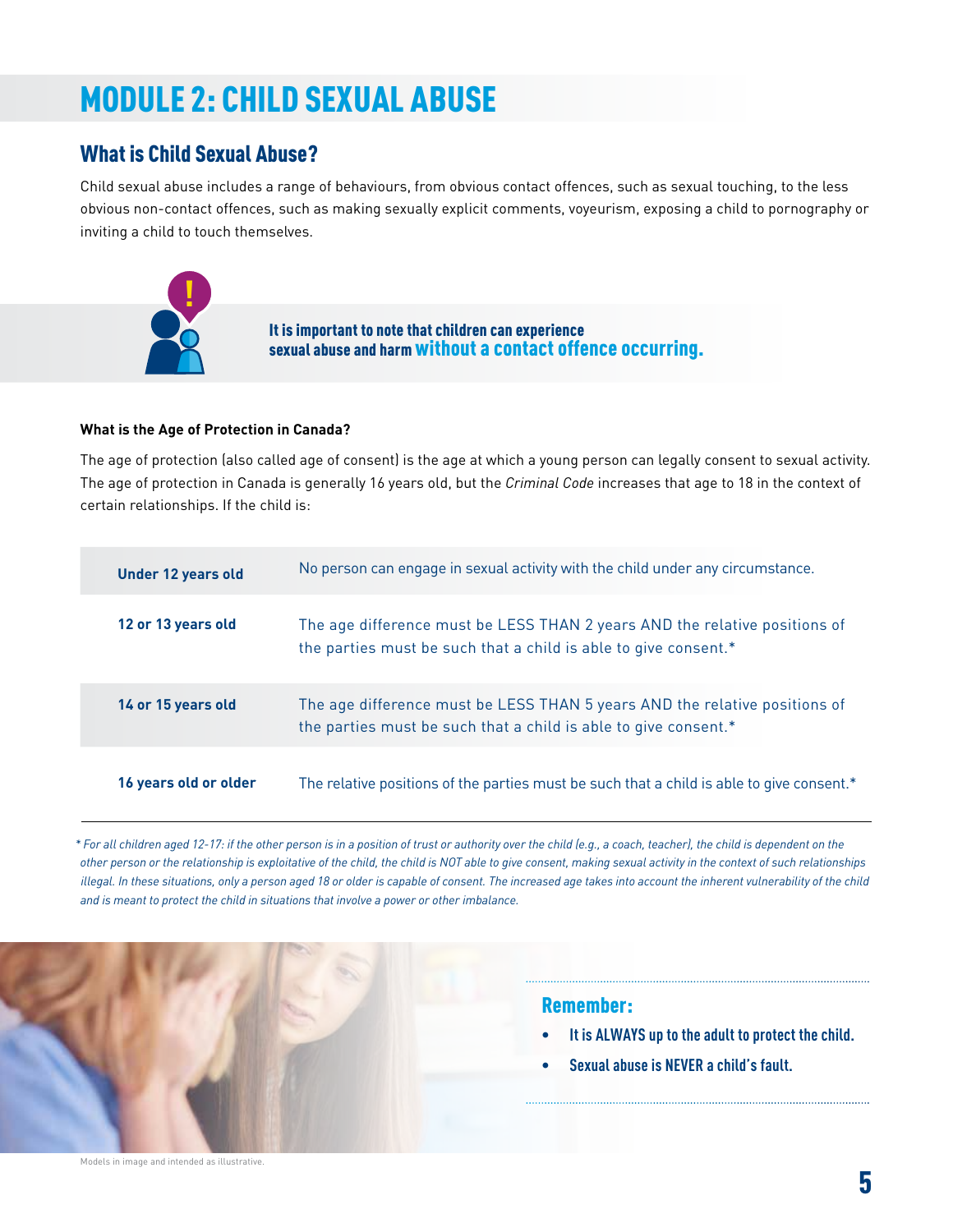## MODULE 2: CHILD SEXUAL ABUSE

#### What is Child Sexual Abuse?

Child sexual abuse includes a range of behaviours, from obvious contact offences, such as sexual touching, to the less obvious non-contact offences, such as making sexually explicit comments, voyeurism, exposing a child to pornography or inviting a child to touch themselves.



It is important to note that children can experience sexual abuse and harm without a contact offence occurring.

#### **What is the Age of Protection in Canada?**

The age of protection (also called age of consent) is the age at which a young person can legally consent to sexual activity. The age of protection in Canada is generally 16 years old, but the *Criminal Code* increases that age to 18 in the context of certain relationships. If the child is:

| <b>Under 12 years old</b> | No person can engage in sexual activity with the child under any circumstance.                                                                |
|---------------------------|-----------------------------------------------------------------------------------------------------------------------------------------------|
| 12 or 13 years old        | The age difference must be LESS THAN 2 years AND the relative positions of<br>the parties must be such that a child is able to give consent.* |
| 14 or 15 years old        | The age difference must be LESS THAN 5 years AND the relative positions of<br>the parties must be such that a child is able to give consent.* |
| 16 years old or older     | The relative positions of the parties must be such that a child is able to give consent.*                                                     |

*\* For all children aged 12-17: if the other person is in a position of trust or authority over the child (e.g., a coach, teacher), the child is dependent on the other person or the relationship is exploitative of the child, the child is NOT able to give consent, making sexual activity in the context of such relationships illegal. In these situations, only a person aged 18 or older is capable of consent. The increased age takes into account the inherent vulnerability of the child and is meant to protect the child in situations that involve a power or other imbalance.* 

#### Remember:

- **• It is ALWAYS up to theadult to protect the child.**
- **• Sexualabuse is NEVER achild's fault.**

Models in image and intended as illustrative.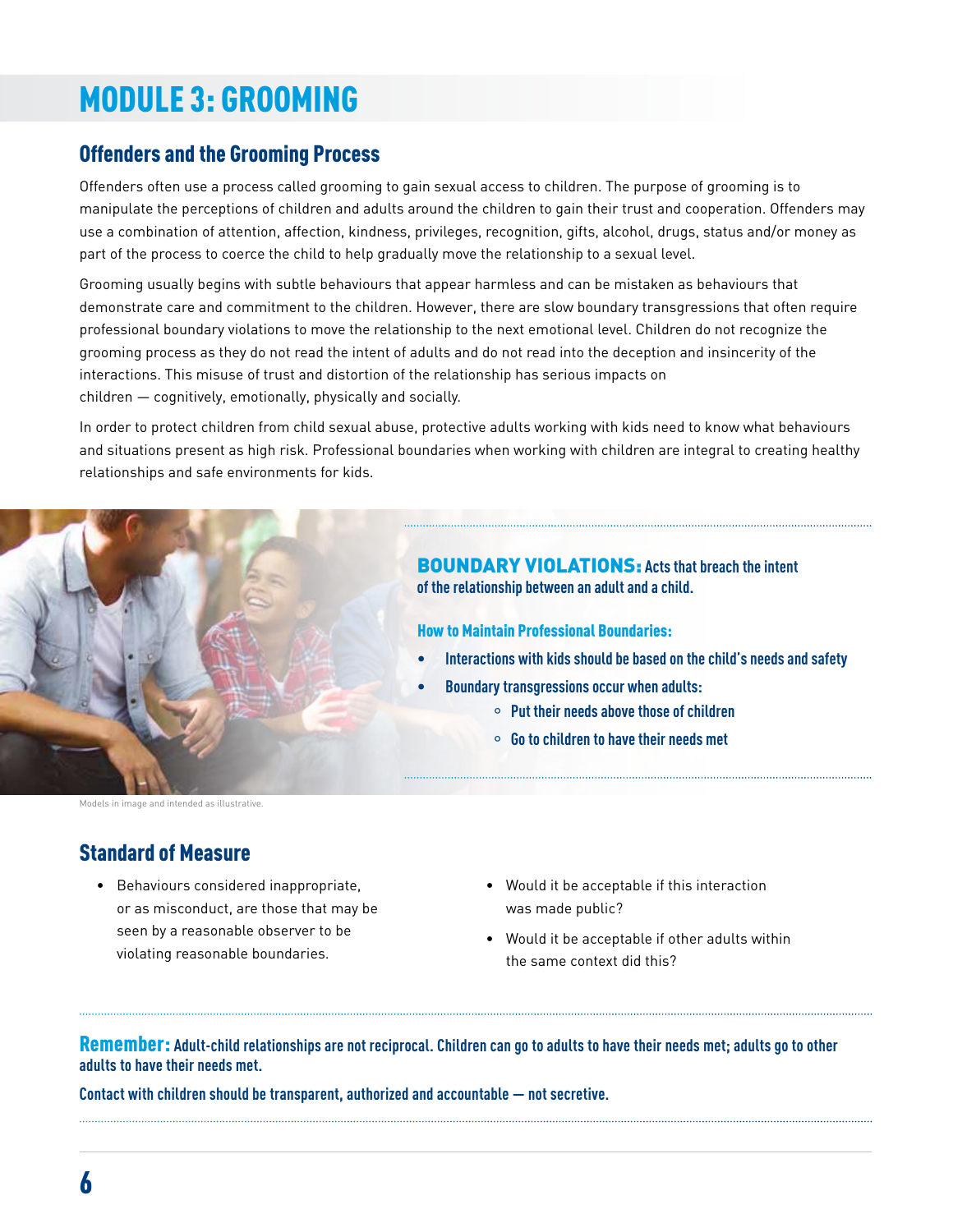## MODULE 3: GROOMING

#### Offenders and the Grooming Process

Offenders often use a process called grooming to gain sexual access to children. The purpose of grooming is to manipulate the perceptions of children and adults around the children to gain their trust and cooperation. Offenders may use a combination of attention, affection, kindness, privileges, recognition, gifts, alcohol, drugs, status and/or money as part of the process to coerce the child to help gradually move the relationship to a sexual level.

Grooming usually begins with subtle behaviours that appear harmless and can be mistaken as behaviours that demonstrate care and commitment to the children. However, there are slow boundary transgressions that often require professional boundary violations to move the relationship to the next emotional level. Children do not recognize the grooming process as they do not read the intent of adults and do not read into the deception and insincerity of the interactions. This misuse of trust and distortion of the relationship has serious impacts on children — cognitively, emotionally, physically and socially.

In order to protect children from child sexual abuse, protective adults working with kids need to know what behaviours and situations present as high risk. Professional boundaries when working with children are integral to creating healthy relationships and safe environments for kids.



#### BOUNDARY VIOLATIONS: **Actsthat breach theintent of therelationship between an adultand achild.**

How to Maintain Professional Boundaries:

- **historically interactions with kids should be based on the child's needs and safety**
- **Boundary transgressions occur when adults:** 
	- ° **Put their needsabovethoseofchildren**
	- ° **Gotochildren to havetheir needs met**

#### Standard of Measure

- Behaviours considered inappropriate, or as misconduct, are those that may be seen by a reasonable observer to be violating reasonable boundaries.
- Would it be acceptable if this interaction was made public?
- Would it be acceptable if other adults within the same context did this?

Remember: Adult-child relationships are not reciprocal. Children can go to adults to have their needs met; adults go to other **adults to have their needs met.**

**Contact with children should be transparent,authorized and accountable — not secretive.**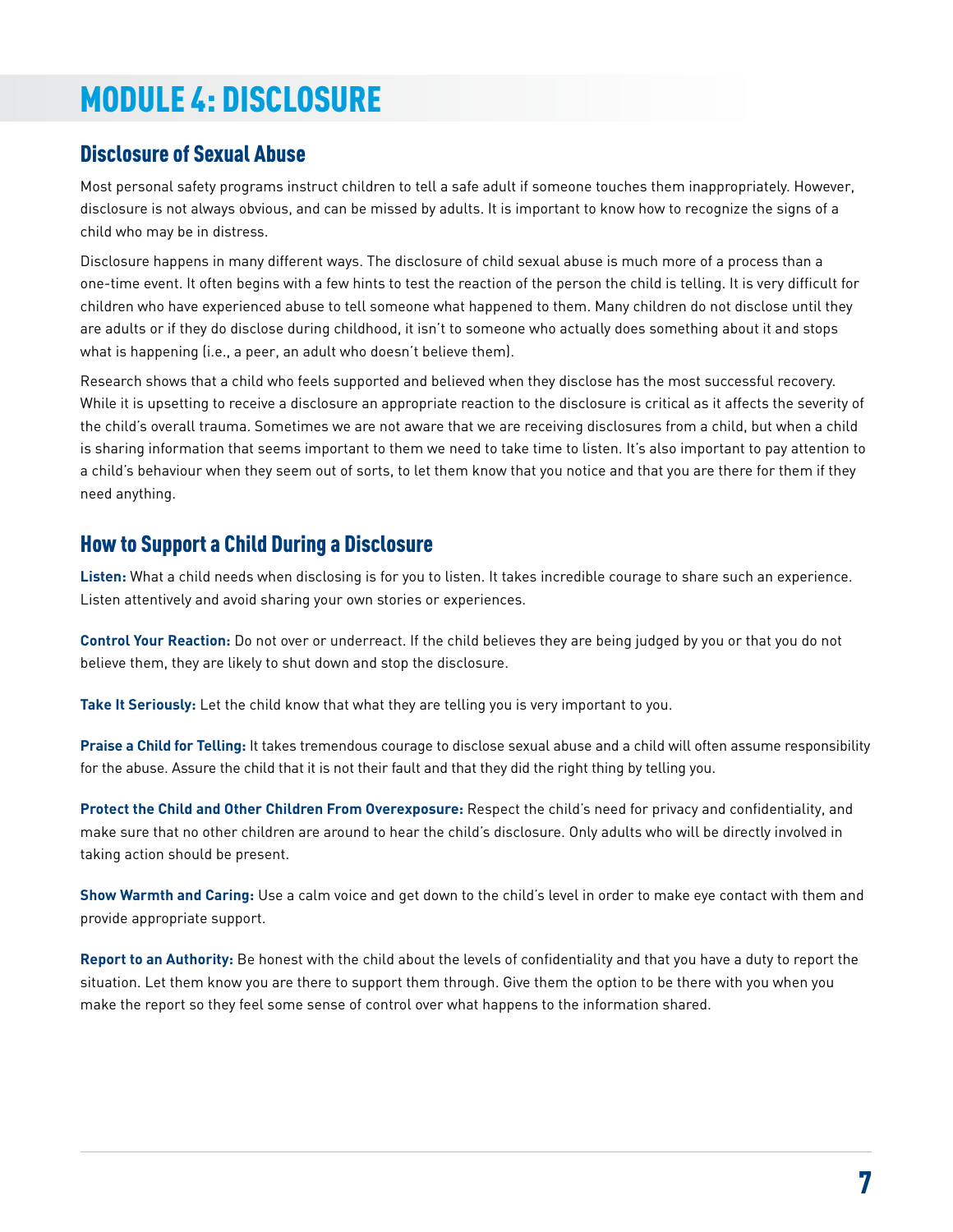## MODULE 4: DISCLOSURE

#### Disclosure of Sexual Abuse

Most personal safety programs instruct children to tell a safe adult if someone touches them inappropriately. However, disclosure is not always obvious, and can be missed by adults. It is important to know how to recognize the signs of a child who may be in distress.

Disclosure happens in many different ways. The disclosure of child sexual abuse is much more of a process than a one-time event. It often begins with a few hints to test the reaction of the person the child is telling. It is very difficult for children who have experienced abuse to tell someone what happened to them. Many children do not disclose until they are adults or if they do disclose during childhood, it isn't to someone who actually does something about it and stops what is happening (i.e., a peer, an adult who doesn't believe them).

Research shows that a child who feels supported and believed when they disclose has the most successful recovery. While it is upsetting to receive a disclosure an appropriate reaction to the disclosure is critical as it affects the severity of the child's overall trauma. Sometimes we are not aware that we are receiving disclosures from a child, but when a child is sharing information that seems important to them we need to take time to listen. It's also important to pay attention to a child's behaviour when they seem out of sorts, to let them know that you notice and that you are there for them if they need anything.

#### How to Support a Child During a Disclosure

**Listen:** What a child needs when disclosing is for you to listen. It takes incredible courage to share such an experience. Listen attentively and avoid sharing your own stories or experiences.

**Control Your Reaction:** Do not over or underreact. If the child believes they are being judged by you or that you do not believe them, they are likely to shut down and stop the disclosure.

**Take It Seriously:** Let the child know that what they are telling you is very important to you.

**Praise a Child for Telling:** It takes tremendous courage to disclose sexual abuse and a child will often assume responsibility for the abuse. Assure the child that it is not their fault and that they did the right thing by telling you.

**Protect the Child and Other Children From Overexposure:** Respect the child's need for privacy and confidentiality, and make sure that no other children are around to hear the child's disclosure. Only adults who will be directly involved in taking action should be present.

**Show Warmth and Caring:** Use a calm voice and get down to the child's level in order to make eye contact with them and provide appropriate support.

**Report to an Authority:** Be honest with the child about the levels of confidentiality and that you have a duty to report the situation. Let them know you are there to support them through. Give them the option to be there with you when you make the report so they feel some sense of control over what happens to the information shared.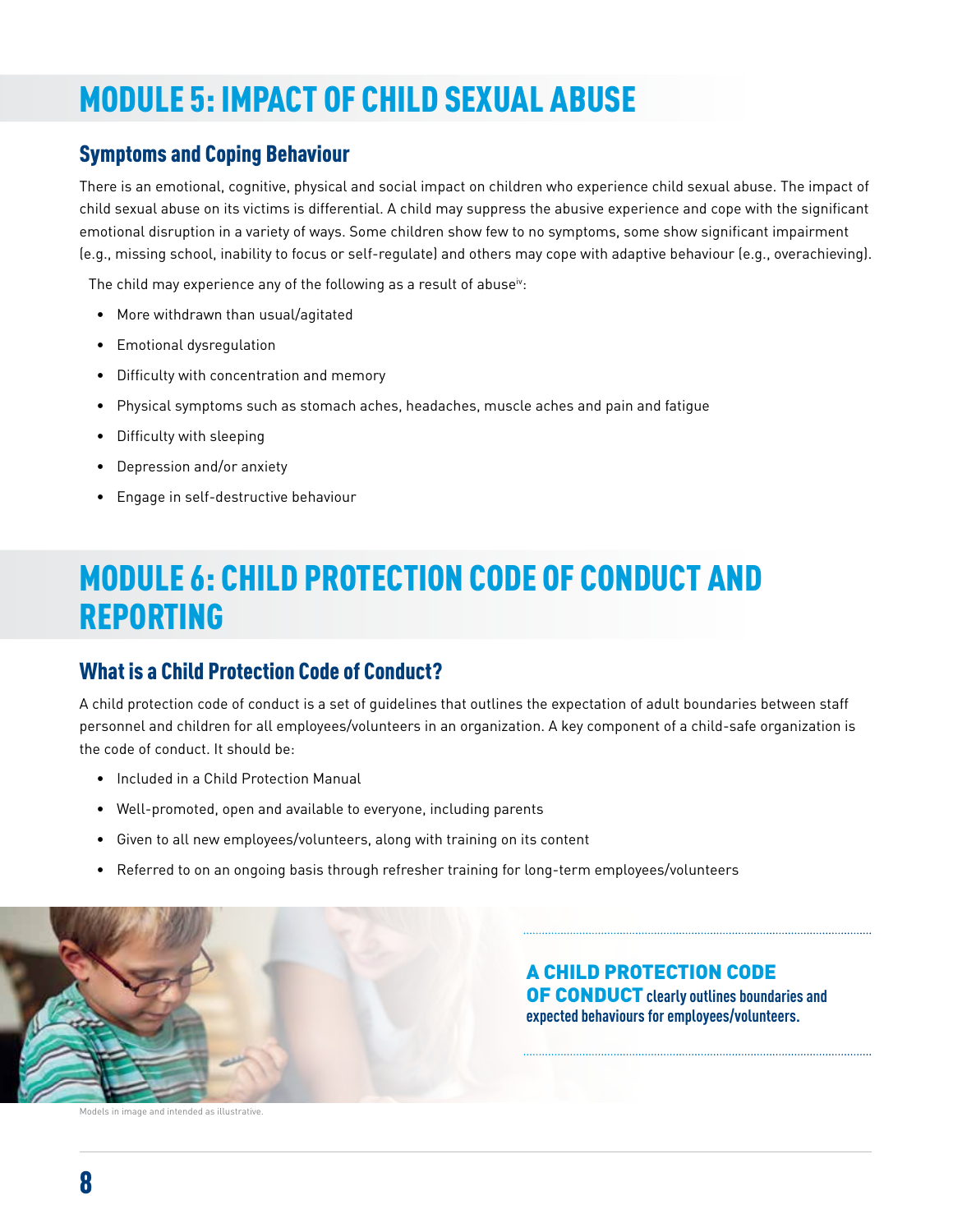## MODULE 5: IMPACT OF CHILD SEXUAL ABUSE

### Symptoms and Coping Behaviour

There is an emotional, cognitive, physical and social impact on children who experience child sexual abuse. The impact of child sexual abuse on its victims is differential. A child may suppress the abusive experience and cope with the significant emotional disruption in a variety of ways. Some children show few to no symptoms, some show significant impairment (e.g., missing school, inability to focus or self-regulate) and others may cope with adaptive behaviour (e.g., overachieving).

The child may experience any of the following as a result of abuse $\dot{v}$ :

- More withdrawn than usual/agitated
- Emotional dysregulation
- Difficulty with concentration and memory
- Physical symptoms such as stomach aches, headaches, muscle aches and pain and fatigue
- Difficulty with sleeping
- Depression and/or anxiety
- Engage in self-destructive behaviour

## MODULE 6: CHILD PROTECTION CODE OF CONDUCT AND REPORTING

### What is a Child Protection Code of Conduct?

A child protection code of conduct is a set of guidelines that outlines the expectation of adult boundaries between staff personnel and children for all employees/volunteers in an organization. A key component of a child-safe organization is the code of conduct. It should be:

- Included in a Child Protection Manual
- Well-promoted, open and available to everyone, including parents
- Given to all new employees/volunteers, along with training on its content
- Referred to on an ongoing basis through refresher training for long-term employees/volunteers



Models in image and intended as illustrative.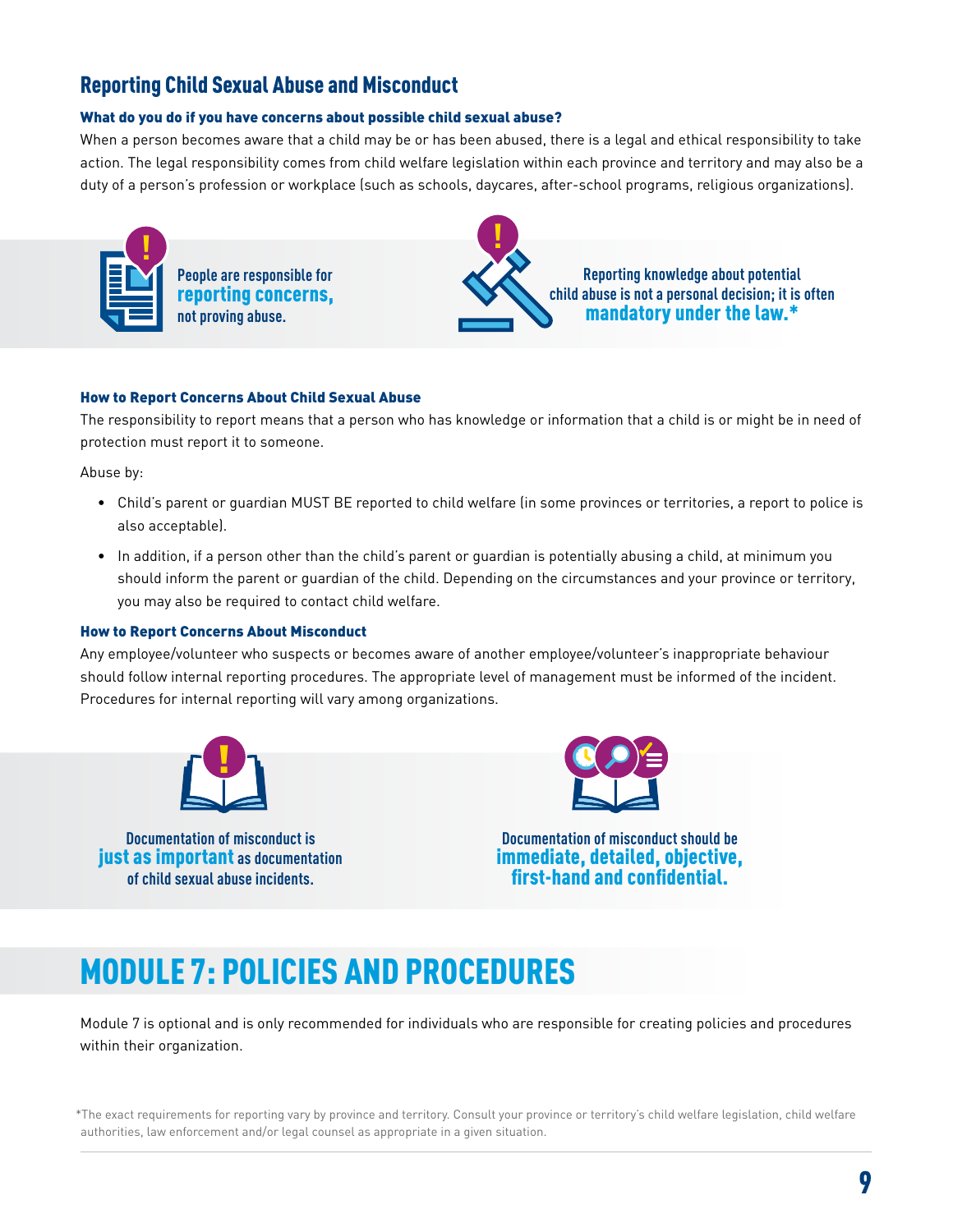#### Reporting Child Sexual Abuse and Misconduct

#### What do you do if you have concerns about possible child sexual abuse?

When a person becomes aware that a child may be or has been abused, there is a legal and ethical responsibility to take action. The legal responsibility comes from child welfare legislation within each province and territory and may also be a duty of a person's profession or workplace (such as schools, daycares, after-school programs, religious organizations).



#### How to Report Concerns About Child Sexual Abuse

The responsibility to report means that a person who has knowledge or information that a child is or might be in need of protection must report it to someone.

Abuse by:

- Child's parent or guardian MUST BE reported to child welfare (in some provinces or territories, a report to police is also acceptable).
- In addition, if a person other than the child's parent or guardian is potentially abusing a child, at minimum you should inform the parent or guardian of the child. Depending on the circumstances and your province or territory, you may also be required to contact child welfare.

#### How to Report Concerns About Misconduct

Any employee/volunteer who suspects or becomes aware of another employee/volunteer's inappropriate behaviour should follow internal reporting procedures. The appropriate level of management must be informed of the incident. Procedures for internal reporting will vary among organizations.



**Documentation of misconduct is** just as important **as documentation of child sexualabuse incidents.**



**Documentation of misconduct should be** immediate, detailed, objective, first-hand and confidential.

## MODULE 7: POLICIES AND PROCEDURES

Module 7 is optional and is only recommended for individuals who are responsible for creating policies and procedures within their organization.

\*The exact requirements for reporting vary by province and territory. Consult your province or territory's child welfare legislation, child welfare authorities, law enforcement and/or legal counsel as appropriate in a given situation.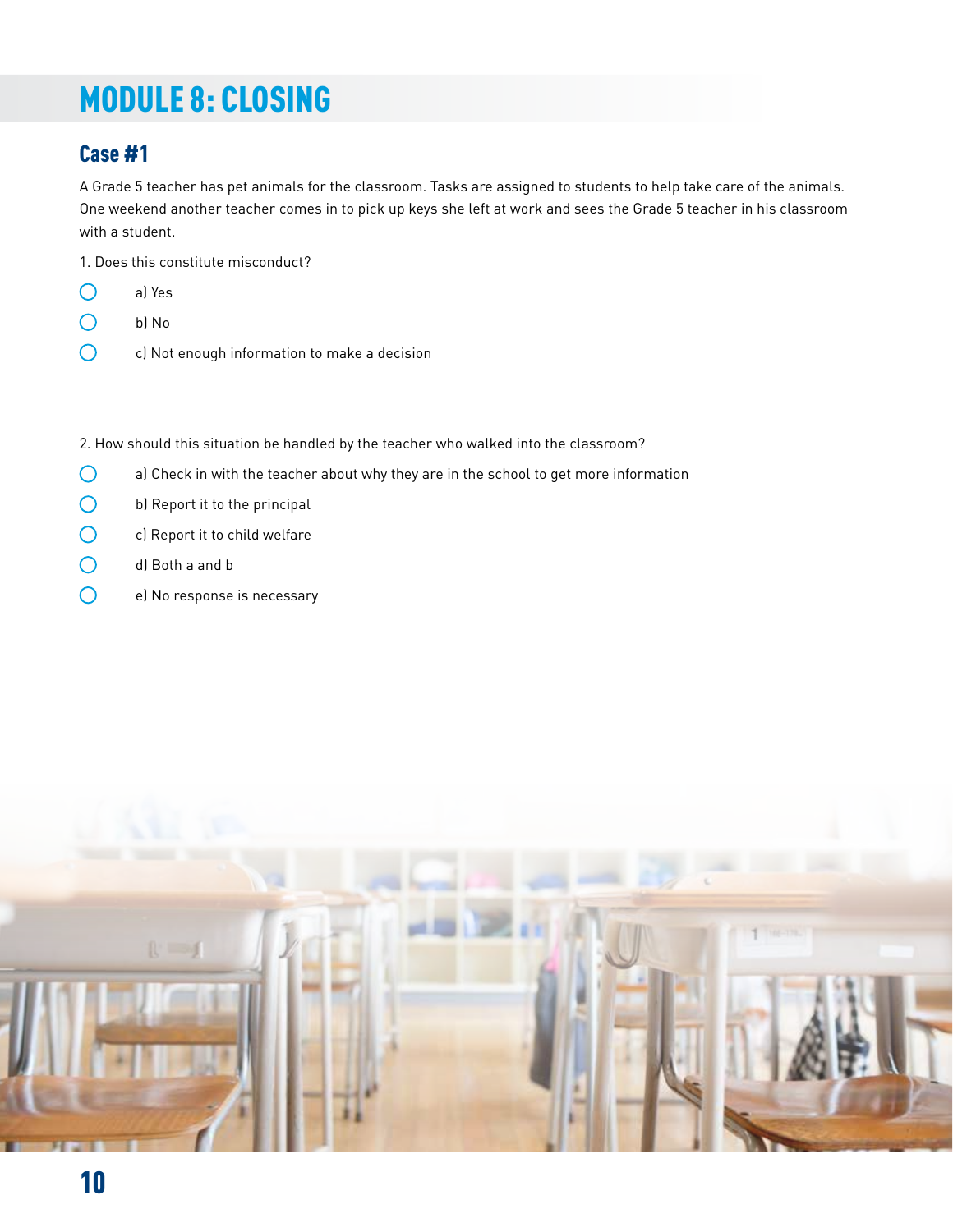## MODULE 8: CLOSING

## Case #1

A Grade 5 teacher has pet animals for the classroom. Tasks are assigned to students to help take care of the animals. One weekend another teacher comes in to pick up keys she left at work and sees the Grade 5 teacher in his classroom with a student.

1. Does this constitute misconduct?

- $\bigcirc$ a) Yes
- $\bigcirc$ b) No
- $\bigcirc$ c) Not enough information to make a decision

2. How should this situation be handled by the teacher who walked into the classroom?

- $\bigcirc$ a) Check in with the teacher about why they are in the school to get more information
- $\bigcirc$ b) Report it to the principal
- $\bigcirc$ c) Report it to child welfare
- $\bigcirc$ d) Both a and b
- $\bigcirc$ e) No response is necessary

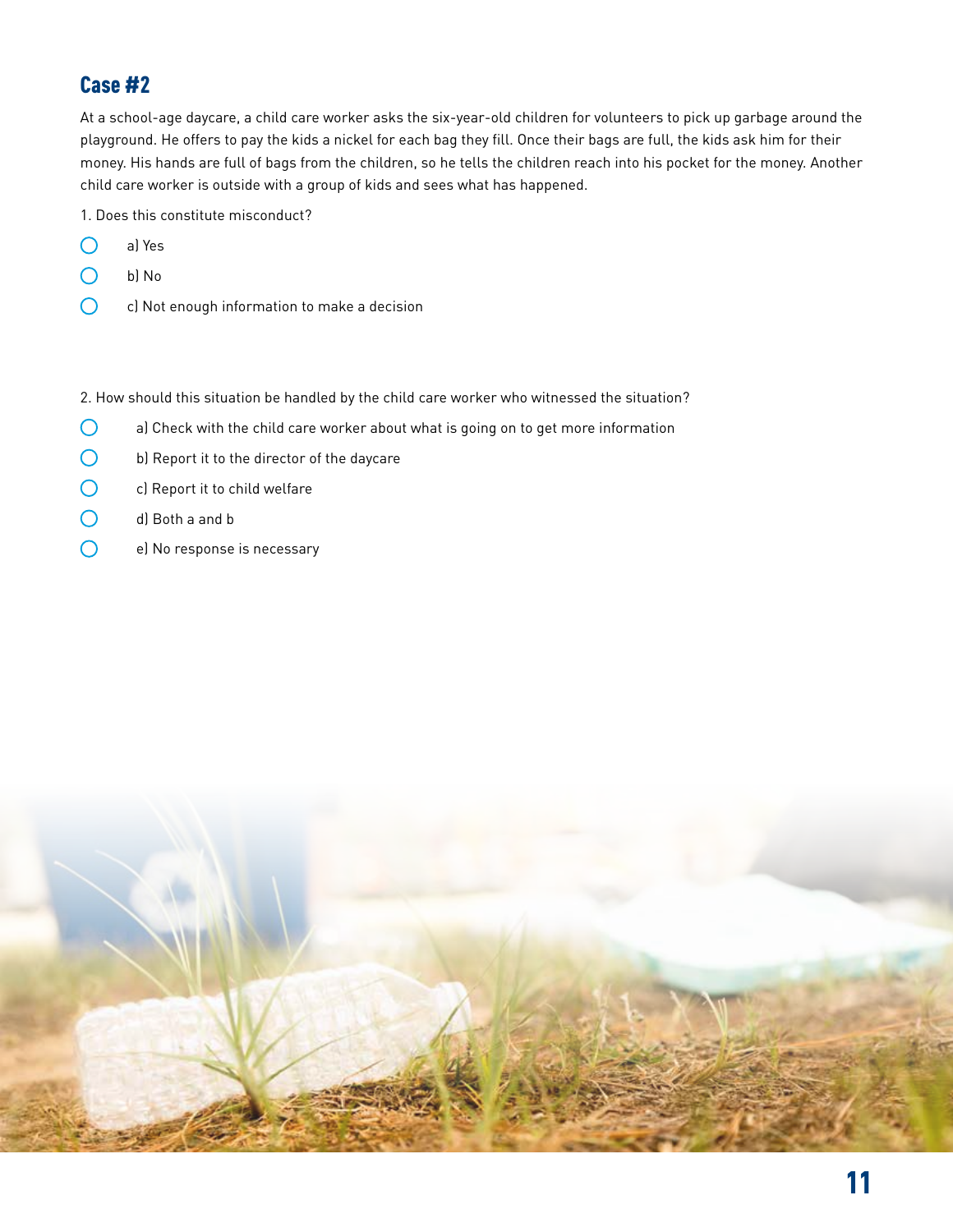At a school-age daycare, a child care worker asks the six-year-old children for volunteers to pick up garbage around the playground. He offers to pay the kids a nickel for each bag they fill. Once their bags are full, the kids ask him for their money. His hands are full of bags from the children, so he tells the children reach into his pocket for the money. Another child care worker is outside with a group of kids and sees what has happened.

1. Does this constitute misconduct?

- $\bigcirc$ a) Yes
- $\bigcirc$ b) No
- $\bigcap$ c) Not enough information to make a decision

2. How should this situation be handled by the child care worker who witnessed the situation?

- $\bigcirc$ a) Check with the child care worker about what is going on to get more information
- $\bigcirc$ b) Report it to the director of the daycare
- $\bigcirc$ c) Report it to child welfare
- $\bigcirc$ d) Both a and b
- $\bigcirc$ e) No response is necessary

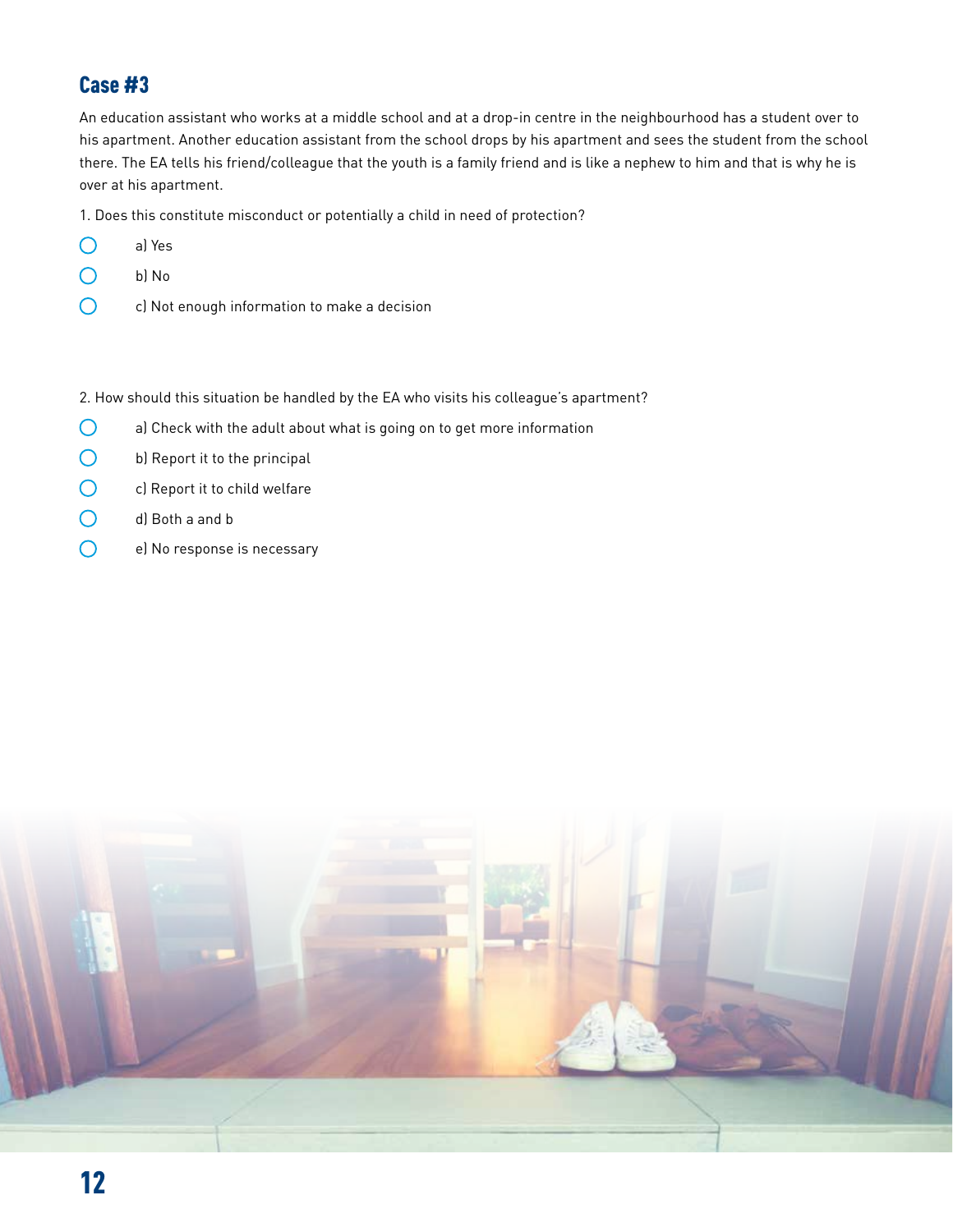An education assistant who works at a middle school and at a drop-in centre in the neighbourhood has a student over to his apartment. Another education assistant from the school drops by his apartment and sees the student from the school there. The EA tells his friend/colleague that the youth is a family friend and is like a nephew to him and that is why he is over at his apartment.

1. Does this constitute misconduct or potentially a child in need of protection?

- $\bigcirc$ a) Yes
- $\bigcirc$ b) No
- $\bigcirc$ c) Not enough information to make a decision

2. How should this situation be handled by the EA who visits his colleague's apartment?

- $\bigcirc$ a) Check with the adult about what is going on to get more information
- $\bigcirc$ b) Report it to the principal
- $\overline{O}$ c) Report it to child welfare
- ∩ d) Both a and b
- $\bigcirc$ e) No response is necessary

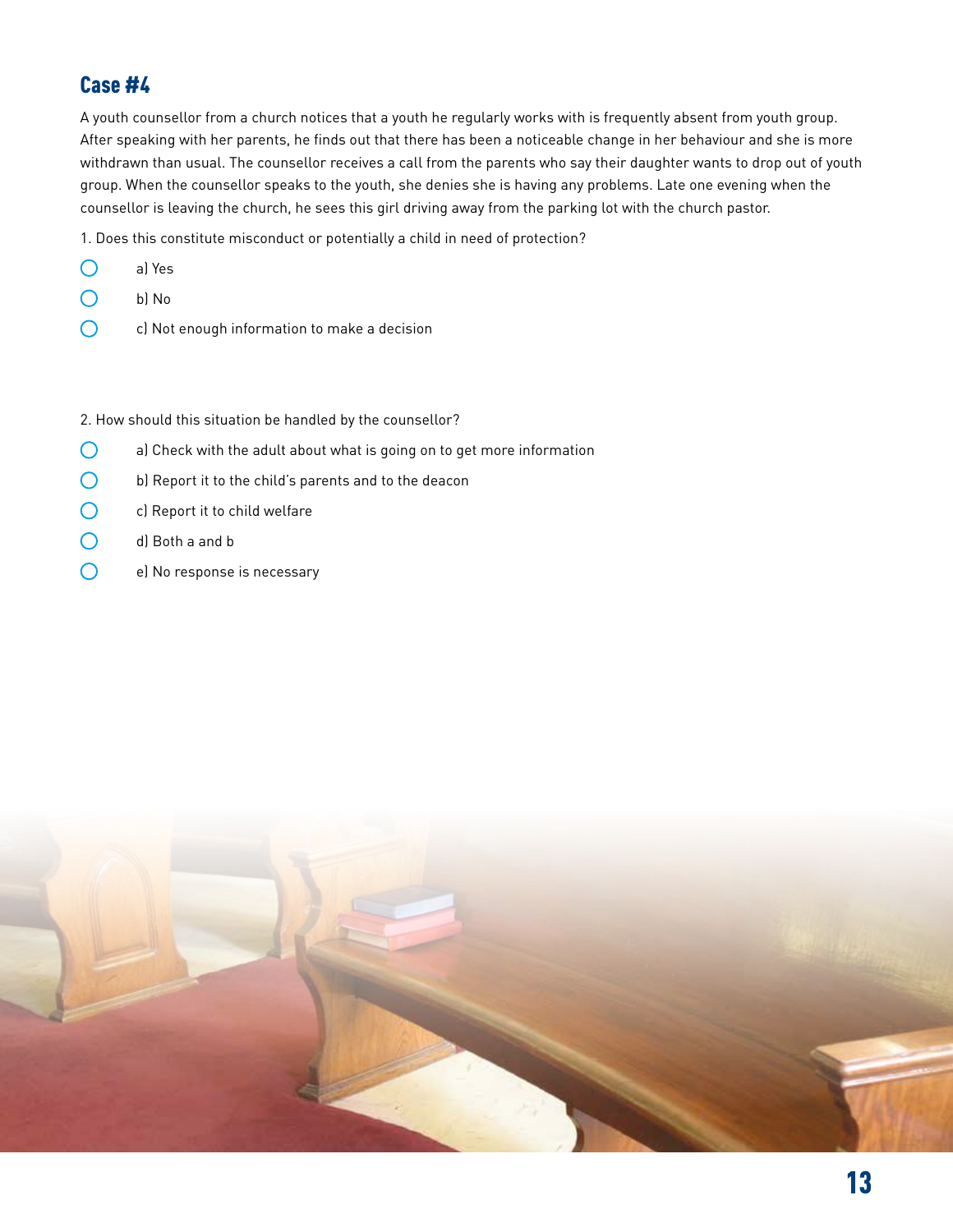A youth counsellor from a church notices that a youth he regularly works with is frequently absent from youth group. After speaking with her parents, he finds out that there has been a noticeable change in her behaviour and she is more withdrawn than usual. The counsellor receives a call from the parents who say their daughter wants to drop out of youth group. When the counsellor speaks to the youth, she denies she is having any problems. Late one evening when the counsellor is leaving the church, he sees this girl driving away from the parking lot with the church pastor.

1. Does this constitute misconduct or potentially a child in need of protection?

- $\bigcap$ a) Yes
- $\bigcirc$ b) No
- $\bigcirc$ c) Not enough information to make a decision

2. How should this situation be handled by the counsellor?

- $\bigcirc$ a) Check with the adult about what is going on to get more information
- $\bigcirc$ b) Report it to the child's parents and to the deacon
- $\bigcirc$ c) Report it to child welfare
- $\bigcirc$ d) Both a and b
- $\bigcap$ e) No response is necessary

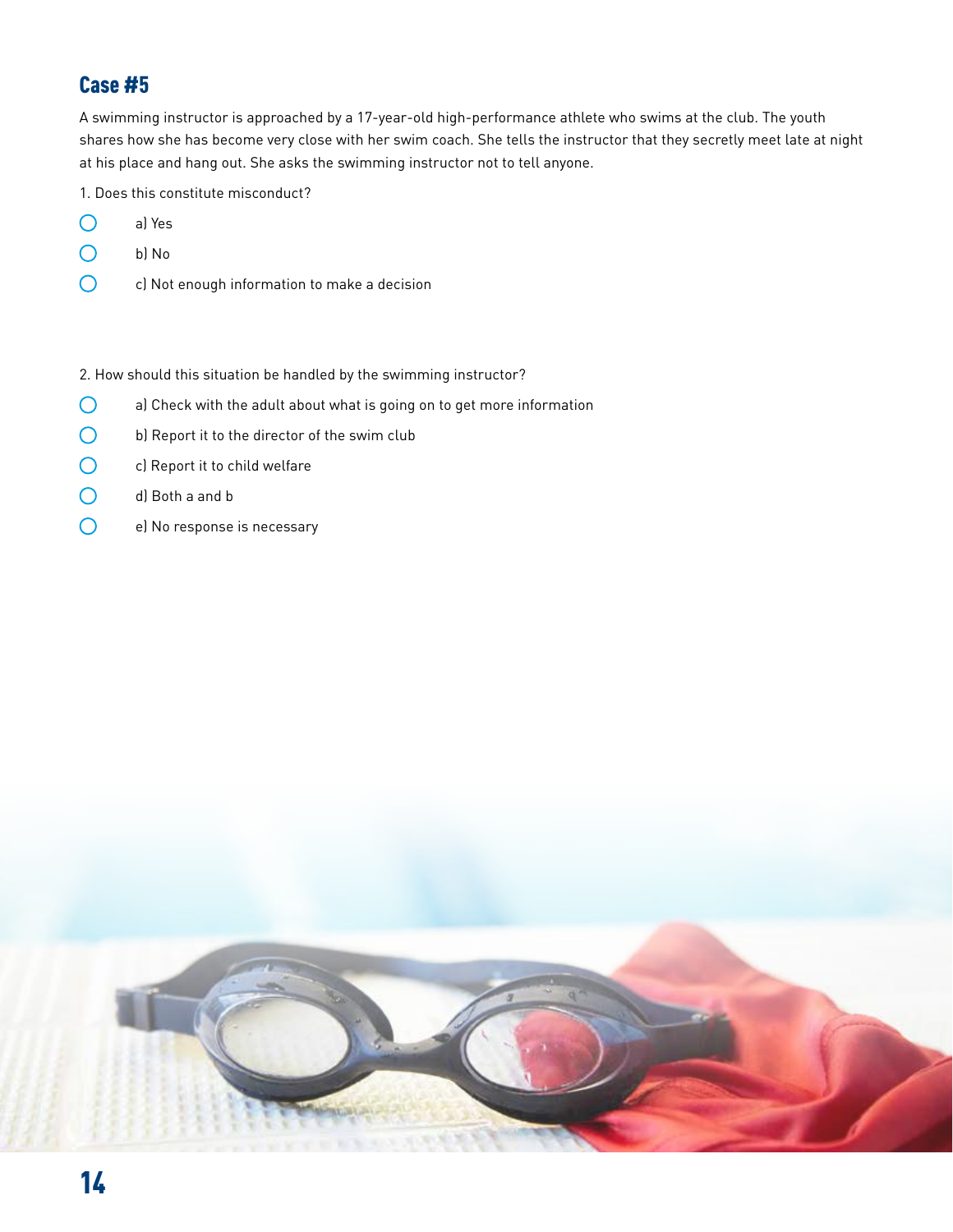A swimming instructor is approached by a 17-year-old high-performance athlete who swims at the club. The youth shares how she has become very close with her swim coach. She tells the instructor that they secretly meet late at night at his place and hang out. She asks the swimming instructor not to tell anyone.

1. Does this constitute misconduct?

- $\bigcirc$ a) Yes
- $\bigcirc$ b) No
- $\bigcirc$ c) Not enough information to make a decision

#### 2. How should this situation be handled by the swimming instructor?

- $\bigcirc$ a) Check with the adult about what is going on to get more information
- $\bigcirc$ b) Report it to the director of the swim club
- $\bigcirc$ c) Report it to child welfare
- $\bigcirc$ d) Both a and b
- $\overline{O}$ e) No response is necessary

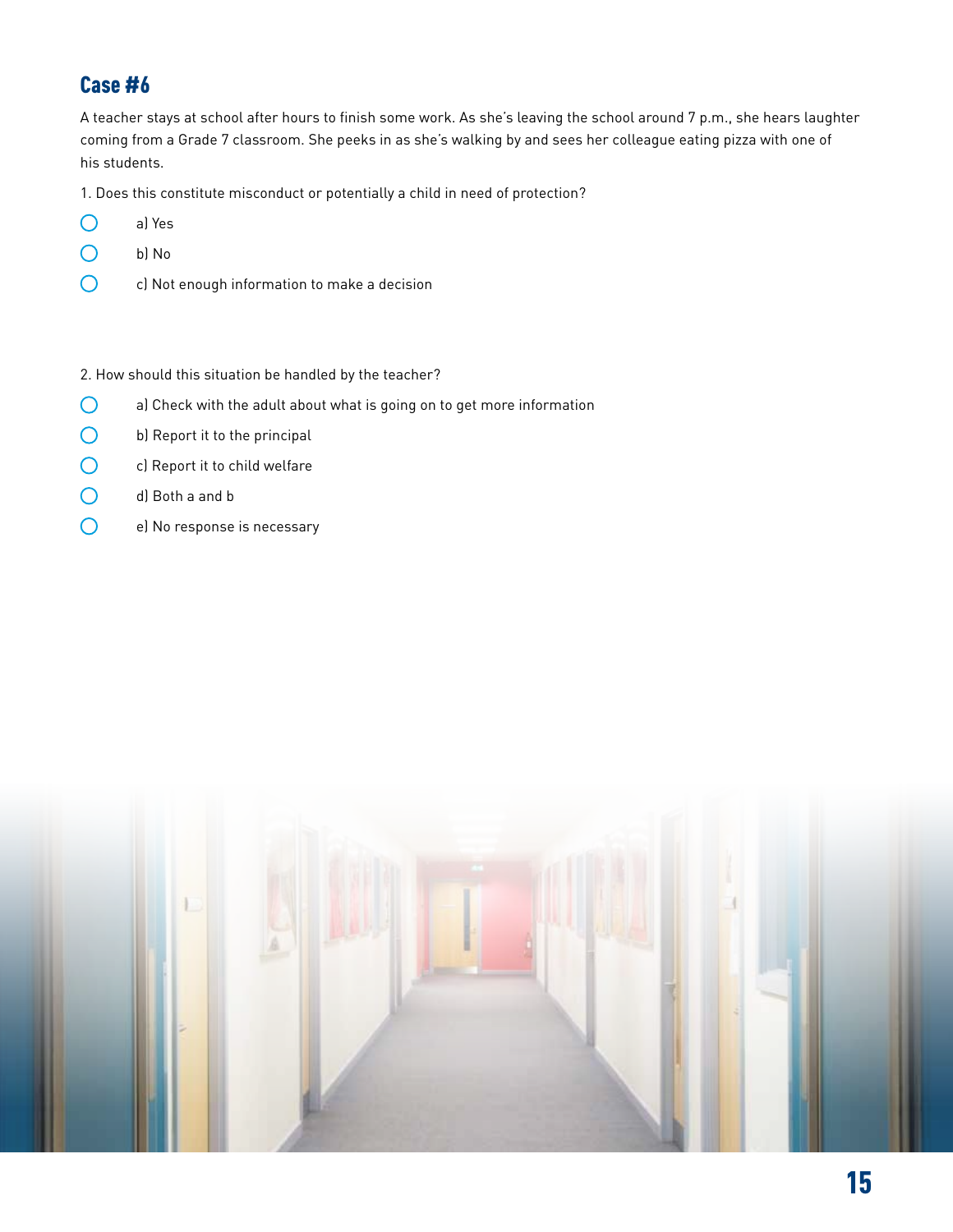A teacher stays at school after hours to finish some work. As she's leaving the school around 7 p.m., she hears laughter coming from a Grade 7 classroom. She peeks in as she's walking by and sees her colleague eating pizza with one of his students.

1. Does this constitute misconduct or potentially a child in need of protection?

- $\bigcirc$ a) Yes
- $\bigcirc$ b) No
- $\overline{O}$ c) Not enough information to make a decision

#### 2. How should this situation be handled by the teacher?

- $\bigcirc$ a) Check with the adult about what is going on to get more information
- $\bigcirc$ b) Report it to the principal
- $\bigcirc$ c) Report it to child welfare
- $\bigcirc$ d) Both a and b
- $\overline{O}$ e) No response is necessary

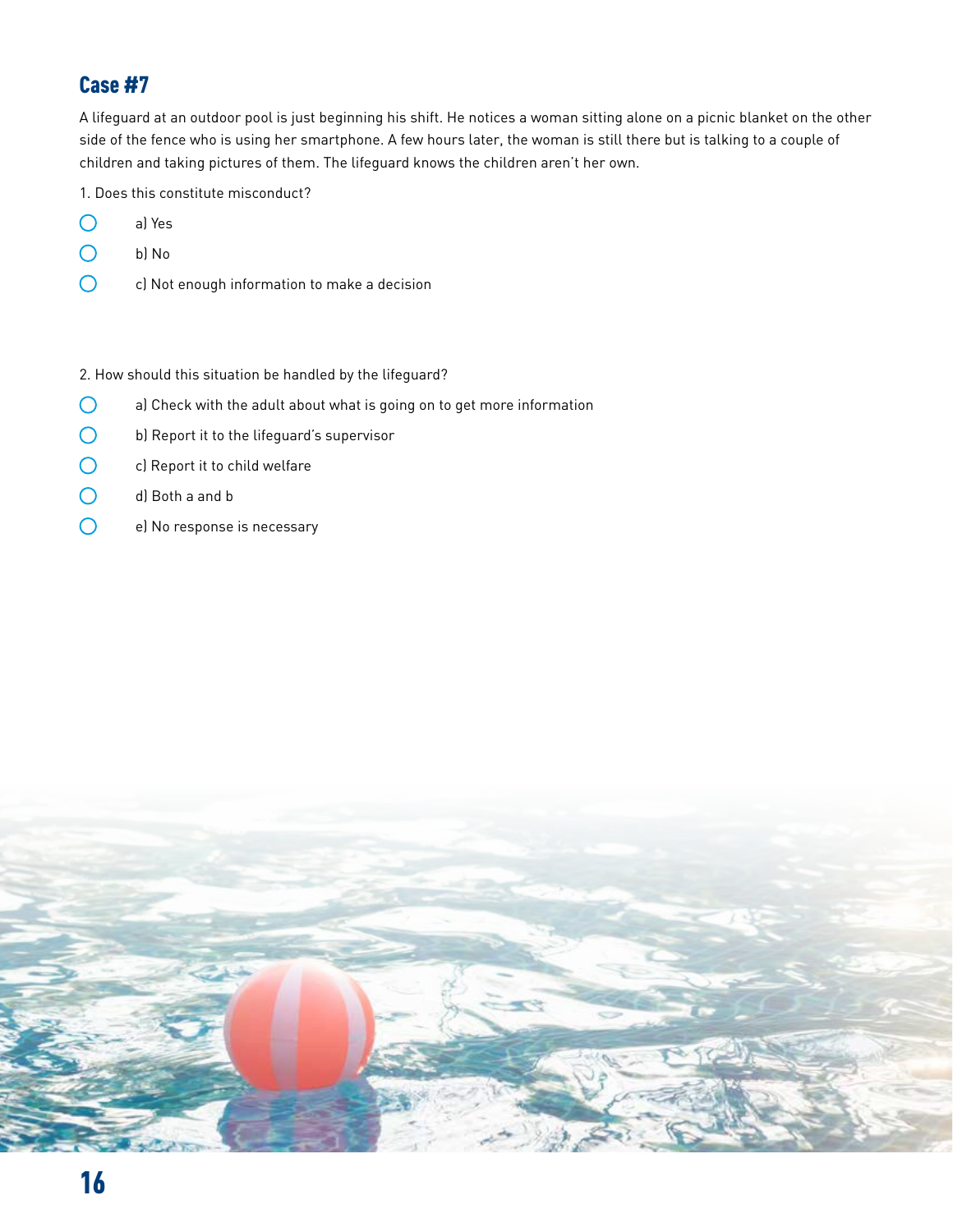A lifeguard at an outdoor pool is just beginning his shift. He notices a woman sitting alone on a picnic blanket on the other side of the fence who is using her smartphone. A few hours later, the woman is still there but is talking to a couple of children and taking pictures of them. The lifeguard knows the children aren't her own.

1. Does this constitute misconduct?

- $\bigcirc$ a) Yes
- $\bigcirc$ b) No
- $\bigcirc$ c) Not enough information to make a decision

#### 2. How should this situation be handled by the lifeguard?

- $\bigcirc$ a) Check with the adult about what is going on to get more information
- $\bigcirc$ b) Report it to the lifeguard's supervisor
- $\bigcirc$ c) Report it to child welfare
- $\bigcirc$ d) Both a and b
- $\overline{O}$ e) No response is necessary

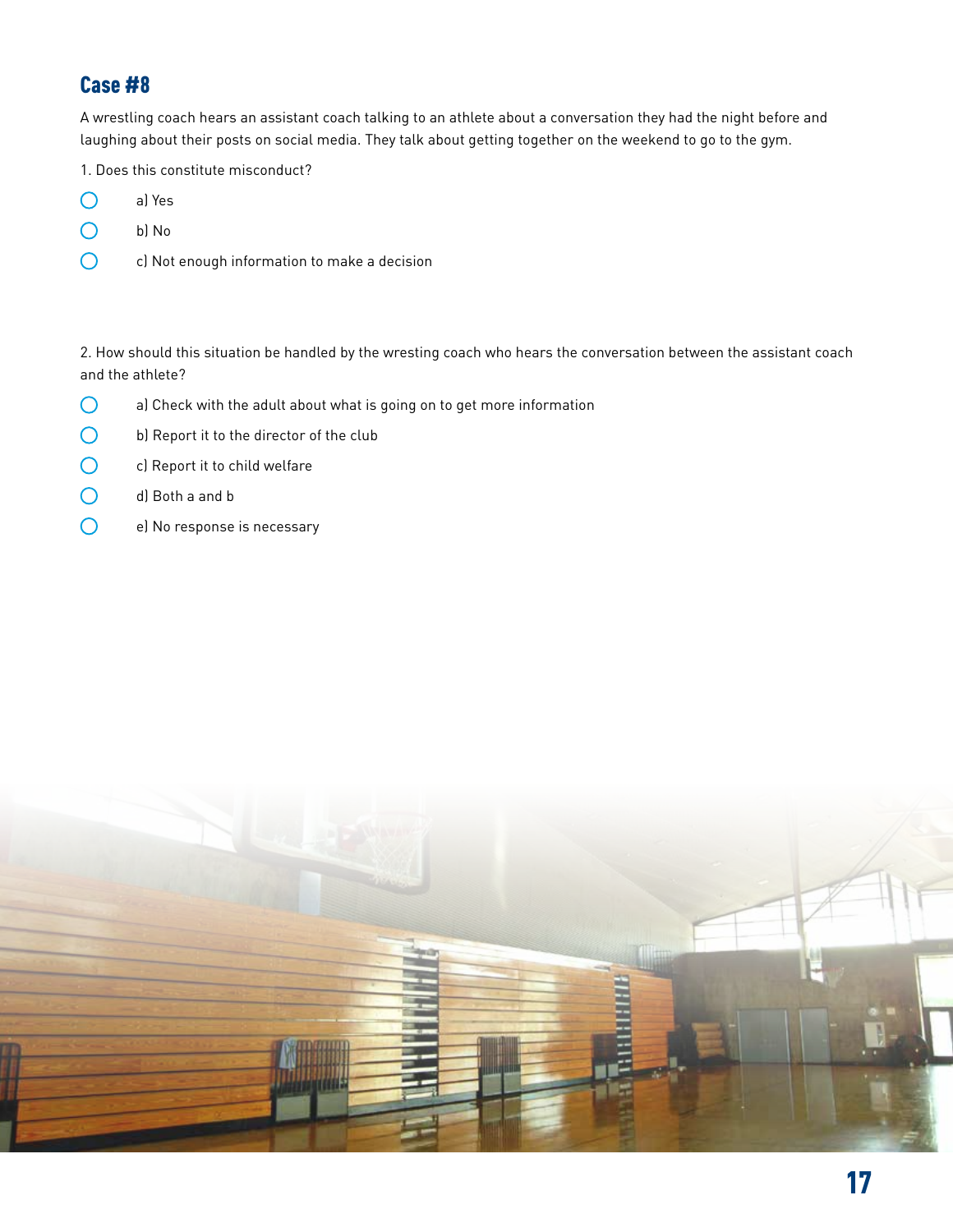A wrestling coach hears an assistant coach talking to an athlete about a conversation they had the night before and laughing about their posts on social media. They talk about getting together on the weekend to go to the gym.

1. Does this constitute misconduct?

- $\bigcirc$ a) Yes
- $\bigcirc$ b) No
- $\bigcirc$ c) Not enough information to make a decision

2. How should this situation be handled by the wresting coach who hears the conversation between the assistant coach and the athlete?

- $\bigcirc$ a) Check with the adult about what is going on to get more information
- $\bigcirc$ b) Report it to the director of the club
- $\bigcirc$ c) Report it to child welfare
- $\overline{O}$ d) Both a and b
- $\overline{O}$ e) No response is necessary

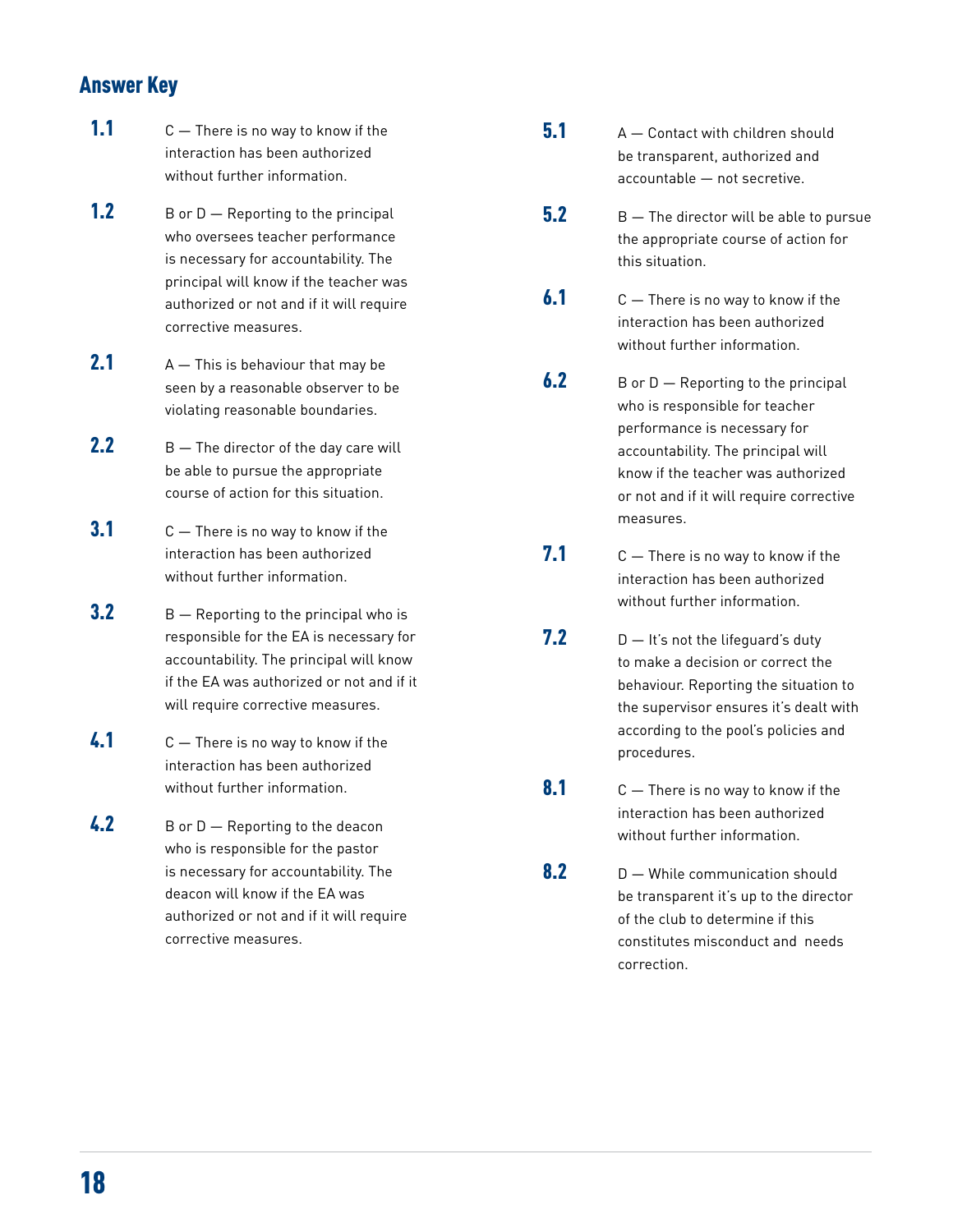#### Answer Key

- **1.1**  $C -$  There is no way to know if the interaction has been authorized without further information.
- **1.2** B or  $D$  Reporting to the principal who oversees teacher performance is necessary for accountability. The principal will know if the teacher was authorized or not and if it will require corrective measures.
- **2.1**  $A This is behaviour that may be$ seen by a reasonable observer to be violating reasonable boundaries.
- **2.2**  $B The director of the day care will$ be able to pursue the appropriate course of action for this situation.
- $3.1$  C  $-$  There is no way to know if the interaction has been authorized without further information.
- $3.2$  B  $-$  Reporting to the principal who is responsible for the EA is necessary for accountability. The principal will know if the EA was authorized or not and if it will require corrective measures.
- 4.1 C There is no way to know if the interaction has been authorized without further information.
- 4.2 B or D Reporting to the deacon who is responsible for the pastor is necessary for accountability. The deacon will know if the EA was authorized or not and if it will require corrective measures.
- $5.1$  A  $-$  Contact with children should be transparent, authorized and accountable — not secretive.
- $\overline{5.2}$  B  $-$  The director will be able to pursue the appropriate course of action for this situation.
- $6.1 \t C -$  There is no way to know if the interaction has been authorized without further information.
- **6.2** B or  $D$  Reporting to the principal who is responsible for teacher performance is necessary for accountability. The principal will know if the teacher was authorized or not and if it will require corrective measures.
- **7.1** C  $-$  There is no way to know if the interaction has been authorized without further information.
- **7.2**  $D It's not the lifeguard's duty$ to make a decision or correct the behaviour. Reporting the situation to the supervisor ensures it's dealt with according to the pool's policies and procedures.
- $8.1 \t C -$  There is no way to know if the interaction has been authorized without further information.
- $8.2$  D While communication should be transparent it's up to the director of the club to determine if this constitutes misconduct and needs correction.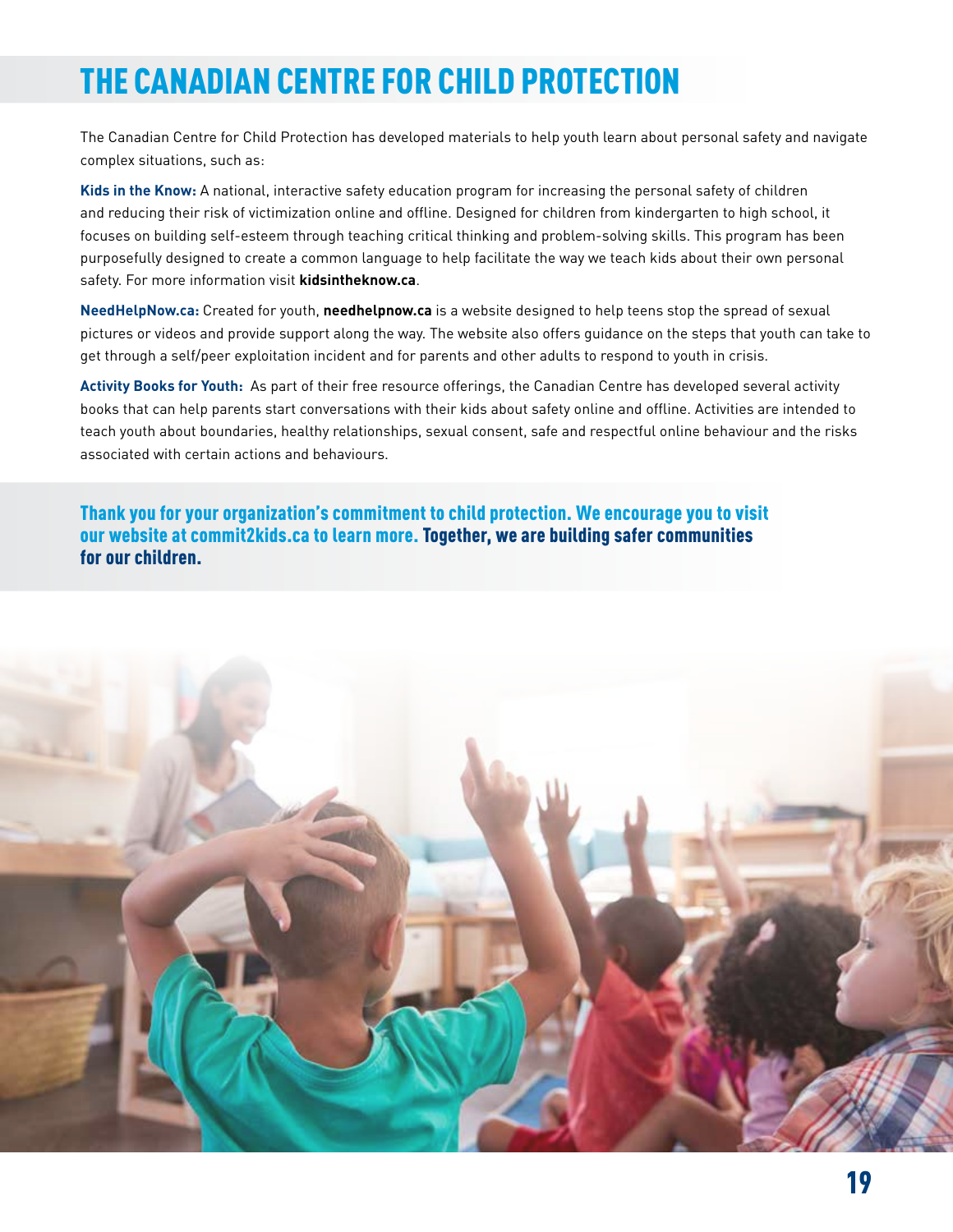## THE CANADIAN CENTRE FOR CHILD PROTECTION

The Canadian Centre for Child Protection has developed materials to help youth learn about personal safety and navigate complex situations, such as:

**Kids in the Know:** A national, interactive safety education program for increasing the personal safety of children and reducing their risk of victimization online and offline. Designed for children from kindergarten to high school, it focuses on building self-esteem through teaching critical thinking and problem-solving skills. This program has been purposefully designed to create a common language to help facilitate the way we teach kids about their own personal safety. For more information visit **kidsintheknow.ca**.

**NeedHelpNow.ca:** Created for youth, **needhelpnow.ca** is a website designed to help teens stop the spread of sexual pictures or videos and provide support along the way. The website also offers guidance on the steps that youth can take to get through a self/peer exploitation incident and for parents and other adults to respond to youth in crisis.

**Activity Books for Youth:** As part of their free resource offerings, the Canadian Centre has developed several activity books that can help parents start conversations with their kids about safety online and offline. Activities are intended to teach youth about boundaries, healthy relationships, sexual consent, safe and respectful online behaviour and the risks associated with certain actions and behaviours.

Thank you for your organization's commitment to child protection. We encourage you to visit our website at commit2kids.ca to learn more. Together, we are building safer communities for our children.